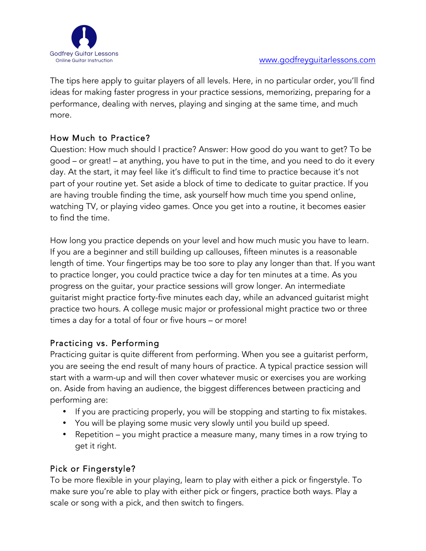

The tips here apply to guitar players of all levels. Here, in no particular order, you'll find ideas for making faster progress in your practice sessions, memorizing, preparing for a performance, dealing with nerves, playing and singing at the same time, and much more.

## How Much to Practice?

Question: How much should I practice? Answer: How good do you want to get? To be good – or great! – at anything, you have to put in the time, and you need to do it every day. At the start, it may feel like it's difficult to find time to practice because it's not part of your routine yet. Set aside a block of time to dedicate to guitar practice. If you are having trouble finding the time, ask yourself how much time you spend online, watching TV, or playing video games. Once you get into a routine, it becomes easier to find the time.

How long you practice depends on your level and how much music you have to learn. If you are a beginner and still building up callouses, fifteen minutes is a reasonable length of time. Your fingertips may be too sore to play any longer than that. If you want to practice longer, you could practice twice a day for ten minutes at a time. As you progress on the guitar, your practice sessions will grow longer. An intermediate guitarist might practice forty-five minutes each day, while an advanced guitarist might practice two hours. A college music major or professional might practice two or three times a day for a total of four or five hours – or more!

## Practicing vs. Performing

Practicing guitar is quite different from performing. When you see a guitarist perform, you are seeing the end result of many hours of practice. A typical practice session will start with a warm-up and will then cover whatever music or exercises you are working on. Aside from having an audience, the biggest differences between practicing and performing are:

- If you are practicing properly, you will be stopping and starting to fix mistakes.
- You will be playing some music very slowly until you build up speed.
- Repetition you might practice a measure many, many times in a row trying to get it right.

## Pick or Fingerstyle?

To be more flexible in your playing, learn to play with either a pick or fingerstyle. To make sure you're able to play with either pick or fingers, practice both ways. Play a scale or song with a pick, and then switch to fingers.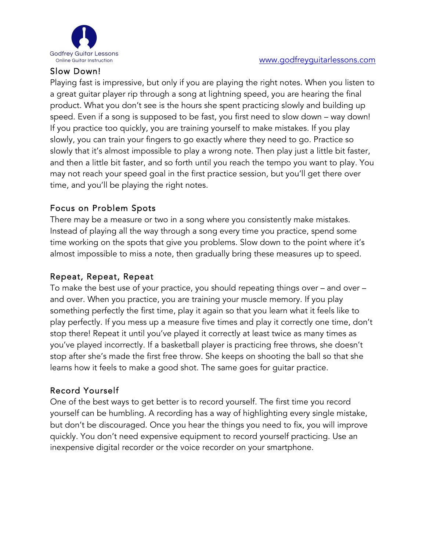

### Slow Down!

Playing fast is impressive, but only if you are playing the right notes. When you listen to a great guitar player rip through a song at lightning speed, you are hearing the final product. What you don't see is the hours she spent practicing slowly and building up speed. Even if a song is supposed to be fast, you first need to slow down – way down! If you practice too quickly, you are training yourself to make mistakes. If you play slowly, you can train your fingers to go exactly where they need to go. Practice so slowly that it's almost impossible to play a wrong note. Then play just a little bit faster, and then a little bit faster, and so forth until you reach the tempo you want to play. You may not reach your speed goal in the first practice session, but you'll get there over

## Focus on Problem Spots

time, and you'll be playing the right notes.

There may be a measure or two in a song where you consistently make mistakes. Instead of playing all the way through a song every time you practice, spend some time working on the spots that give you problems. Slow down to the point where it's almost impossible to miss a note, then gradually bring these measures up to speed.

## Repeat, Repeat, Repeat

To make the best use of your practice, you should repeating things over – and over – and over. When you practice, you are training your muscle memory. If you play something perfectly the first time, play it again so that you learn what it feels like to play perfectly. If you mess up a measure five times and play it correctly one time, don't stop there! Repeat it until you've played it correctly at least twice as many times as you've played incorrectly. If a basketball player is practicing free throws, she doesn't stop after she's made the first free throw. She keeps on shooting the ball so that she learns how it feels to make a good shot. The same goes for guitar practice.

## Record Yourself

One of the best ways to get better is to record yourself. The first time you record yourself can be humbling. A recording has a way of highlighting every single mistake, but don't be discouraged. Once you hear the things you need to fix, you will improve quickly. You don't need expensive equipment to record yourself practicing. Use an inexpensive digital recorder or the voice recorder on your smartphone.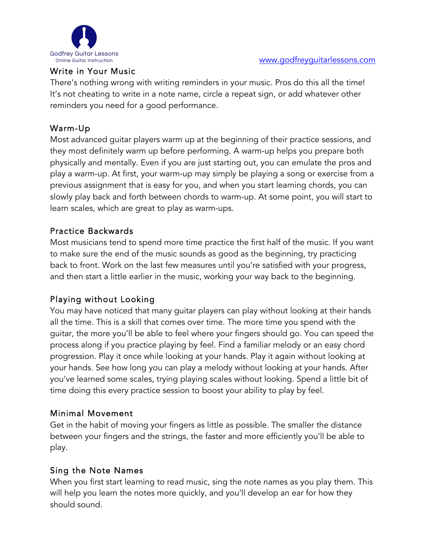

#### Write in Your Music

There's nothing wrong with writing reminders in your music. Pros do this all the time! It's not cheating to write in a note name, circle a repeat sign, or add whatever other reminders you need for a good performance.

### Warm-Up

Most advanced guitar players warm up at the beginning of their practice sessions, and they most definitely warm up before performing. A warm-up helps you prepare both physically and mentally. Even if you are just starting out, you can emulate the pros and play a warm-up. At first, your warm-up may simply be playing a song or exercise from a previous assignment that is easy for you, and when you start learning chords, you can slowly play back and forth between chords to warm-up. At some point, you will start to learn scales, which are great to play as warm-ups.

#### Practice Backwards

Most musicians tend to spend more time practice the first half of the music. If you want to make sure the end of the music sounds as good as the beginning, try practicing back to front. Work on the last few measures until you're satisfied with your progress, and then start a little earlier in the music, working your way back to the beginning.

## Playing without Looking

You may have noticed that many guitar players can play without looking at their hands all the time. This is a skill that comes over time. The more time you spend with the guitar, the more you'll be able to feel where your fingers should go. You can speed the process along if you practice playing by feel. Find a familiar melody or an easy chord progression. Play it once while looking at your hands. Play it again without looking at your hands. See how long you can play a melody without looking at your hands. After you've learned some scales, trying playing scales without looking. Spend a little bit of time doing this every practice session to boost your ability to play by feel.

#### Minimal Movement

Get in the habit of moving your fingers as little as possible. The smaller the distance between your fingers and the strings, the faster and more efficiently you'll be able to play.

#### Sing the Note Names

When you first start learning to read music, sing the note names as you play them. This will help you learn the notes more quickly, and you'll develop an ear for how they should sound.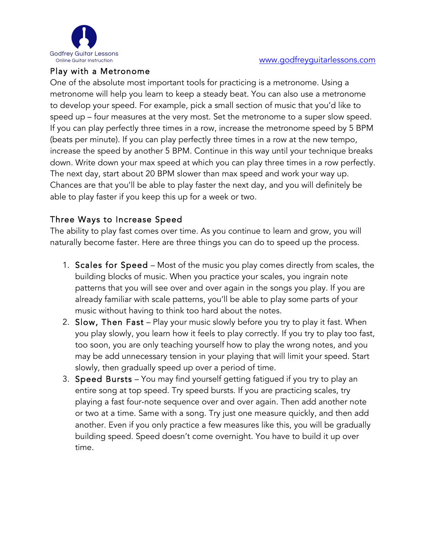

#### Play with a Metronome

One of the absolute most important tools for practicing is a metronome. Using a metronome will help you learn to keep a steady beat. You can also use a metronome to develop your speed. For example, pick a small section of music that you'd like to speed up – four measures at the very most. Set the metronome to a super slow speed. If you can play perfectly three times in a row, increase the metronome speed by 5 BPM (beats per minute). If you can play perfectly three times in a row at the new tempo, increase the speed by another 5 BPM. Continue in this way until your technique breaks down. Write down your max speed at which you can play three times in a row perfectly. The next day, start about 20 BPM slower than max speed and work your way up. Chances are that you'll be able to play faster the next day, and you will definitely be able to play faster if you keep this up for a week or two.

#### Three Ways to Increase Speed

The ability to play fast comes over time. As you continue to learn and grow, you will naturally become faster. Here are three things you can do to speed up the process.

- 1. Scales for Speed Most of the music you play comes directly from scales, the building blocks of music. When you practice your scales, you ingrain note patterns that you will see over and over again in the songs you play. If you are already familiar with scale patterns, you'll be able to play some parts of your music without having to think too hard about the notes.
- 2. Slow, Then Fast Play your music slowly before you try to play it fast. When you play slowly, you learn how it feels to play correctly. If you try to play too fast, too soon, you are only teaching yourself how to play the wrong notes, and you may be add unnecessary tension in your playing that will limit your speed. Start slowly, then gradually speed up over a period of time.
- 3. Speed Bursts You may find yourself getting fatigued if you try to play an entire song at top speed. Try speed bursts. If you are practicing scales, try playing a fast four-note sequence over and over again. Then add another note or two at a time. Same with a song. Try just one measure quickly, and then add another. Even if you only practice a few measures like this, you will be gradually building speed. Speed doesn't come overnight. You have to build it up over time.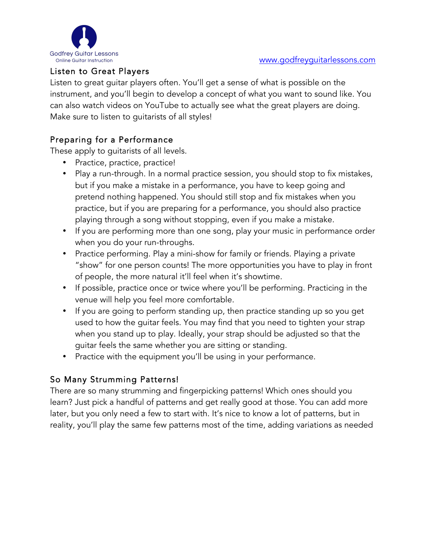

## Listen to Great Players

Listen to great guitar players often. You'll get a sense of what is possible on the instrument, and you'll begin to develop a concept of what you want to sound like. You can also watch videos on YouTube to actually see what the great players are doing. Make sure to listen to guitarists of all styles!

## Preparing for a Performance

These apply to guitarists of all levels.

- Practice, practice, practice!
- Play a run-through. In a normal practice session, you should stop to fix mistakes, but if you make a mistake in a performance, you have to keep going and pretend nothing happened. You should still stop and fix mistakes when you practice, but if you are preparing for a performance, you should also practice playing through a song without stopping, even if you make a mistake.
- If you are performing more than one song, play your music in performance order when you do your run-throughs.
- Practice performing. Play a mini-show for family or friends. Playing a private "show" for one person counts! The more opportunities you have to play in front of people, the more natural it'll feel when it's showtime.
- If possible, practice once or twice where you'll be performing. Practicing in the venue will help you feel more comfortable.
- If you are going to perform standing up, then practice standing up so you get used to how the guitar feels. You may find that you need to tighten your strap when you stand up to play. Ideally, your strap should be adjusted so that the guitar feels the same whether you are sitting or standing.
- Practice with the equipment you'll be using in your performance.

## So Many Strumming Patterns!

There are so many strumming and fingerpicking patterns! Which ones should you learn? Just pick a handful of patterns and get really good at those. You can add more later, but you only need a few to start with. It's nice to know a lot of patterns, but in reality, you'll play the same few patterns most of the time, adding variations as needed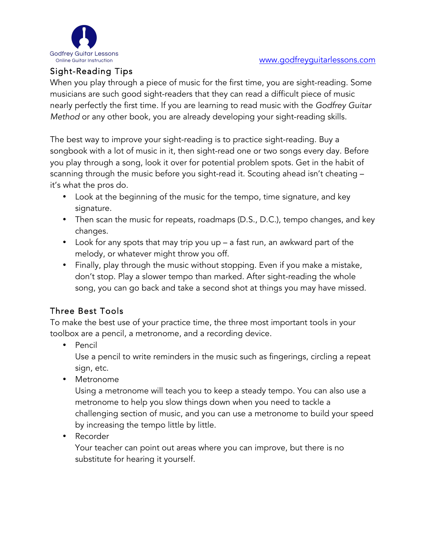

## Sight-Reading Tips

When you play through a piece of music for the first time, you are sight-reading. Some musicians are such good sight-readers that they can read a difficult piece of music nearly perfectly the first time. If you are learning to read music with the *Godfrey Guitar Method* or any other book, you are already developing your sight-reading skills.

The best way to improve your sight-reading is to practice sight-reading. Buy a songbook with a lot of music in it, then sight-read one or two songs every day. Before you play through a song, look it over for potential problem spots. Get in the habit of scanning through the music before you sight-read it. Scouting ahead isn't cheating – it's what the pros do.

- Look at the beginning of the music for the tempo, time signature, and key signature.
- Then scan the music for repeats, roadmaps (D.S., D.C.), tempo changes, and key changes.
- Look for any spots that may trip you up a fast run, an awkward part of the melody, or whatever might throw you off.
- Finally, play through the music without stopping. Even if you make a mistake, don't stop. Play a slower tempo than marked. After sight-reading the whole song, you can go back and take a second shot at things you may have missed.

## Three Best Tools

To make the best use of your practice time, the three most important tools in your toolbox are a pencil, a metronome, and a recording device.

• Pencil

Use a pencil to write reminders in the music such as fingerings, circling a repeat sign, etc.

• Metronome

Using a metronome will teach you to keep a steady tempo. You can also use a metronome to help you slow things down when you need to tackle a challenging section of music, and you can use a metronome to build your speed by increasing the tempo little by little.

• Recorder

Your teacher can point out areas where you can improve, but there is no substitute for hearing it yourself.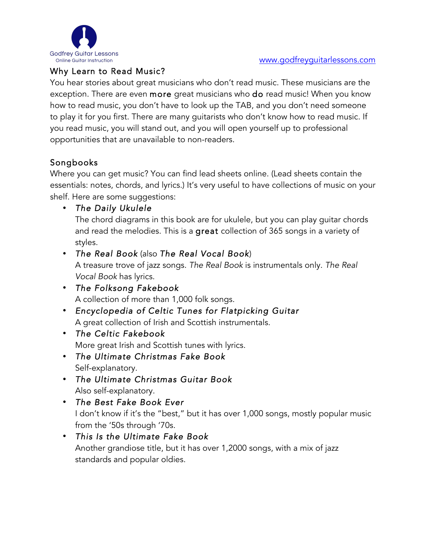

## Why Learn to Read Music?

You hear stories about great musicians who don't read music. These musicians are the exception. There are even more great musicians who do read music! When you know how to read music, you don't have to look up the TAB, and you don't need someone to play it for you first. There are many guitarists who don't know how to read music. If you read music, you will stand out, and you will open yourself up to professional opportunities that are unavailable to non-readers.

# Songbooks

Where you can get music? You can find lead sheets online. (Lead sheets contain the essentials: notes, chords, and lyrics.) It's very useful to have collections of music on your shelf. Here are some suggestions:

## • *The Daily Ukulele*

The chord diagrams in this book are for ukulele, but you can play guitar chords and read the melodies. This is a great collection of 365 songs in a variety of styles.

## • *The Real Book* (also *The Real Vocal Book*)

A treasure trove of jazz songs. *The Real Book* is instrumentals only. *The Real Vocal Book* has lyrics.

- *The Folksong Fakebook* A collection of more than 1,000 folk songs.
- *Encyclopedia of Celtic Tunes for Flatpicking Guitar* A great collection of Irish and Scottish instrumentals.
- *The Celtic Fakebook* More great Irish and Scottish tunes with lyrics.
- *The Ultimate Christmas Fake Book* Self-explanatory.
- *The Ultimate Christmas Guitar Book* Also self-explanatory.
- *The Best Fake Book Ever* I don't know if it's the "best," but it has over 1,000 songs, mostly popular music from the '50s through '70s.
- *This Is the Ultimate Fake Book* Another grandiose title, but it has over 1,2000 songs, with a mix of jazz standards and popular oldies.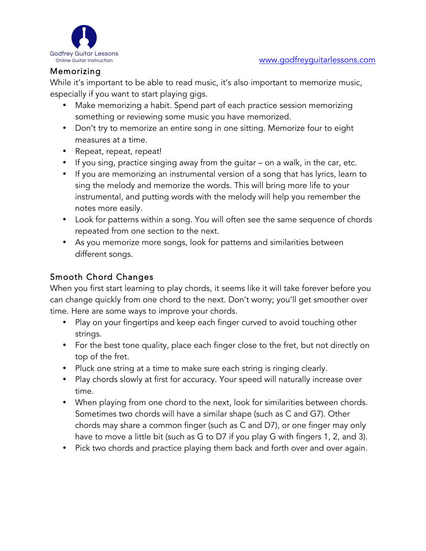

### Memorizing

While it's important to be able to read music, it's also important to memorize music, especially if you want to start playing gigs.

- Make memorizing a habit. Spend part of each practice session memorizing something or reviewing some music you have memorized.
- Don't try to memorize an entire song in one sitting. Memorize four to eight measures at a time.
- Repeat, repeat, repeat!
- If you sing, practice singing away from the guitar on a walk, in the car, etc.
- If you are memorizing an instrumental version of a song that has lyrics, learn to sing the melody and memorize the words. This will bring more life to your instrumental, and putting words with the melody will help you remember the notes more easily.
- Look for patterns within a song. You will often see the same sequence of chords repeated from one section to the next.
- As you memorize more songs, look for patterns and similarities between different songs.

### Smooth Chord Changes

When you first start learning to play chords, it seems like it will take forever before you can change quickly from one chord to the next. Don't worry; you'll get smoother over time. Here are some ways to improve your chords.

- Play on your fingertips and keep each finger curved to avoid touching other strings.
- For the best tone quality, place each finger close to the fret, but not directly on top of the fret.
- Pluck one string at a time to make sure each string is ringing clearly.
- Play chords slowly at first for accuracy. Your speed will naturally increase over time.
- When playing from one chord to the next, look for similarities between chords. Sometimes two chords will have a similar shape (such as C and G7). Other chords may share a common finger (such as C and D7), or one finger may only have to move a little bit (such as G to D7 if you play G with fingers 1, 2, and 3).
- Pick two chords and practice playing them back and forth over and over again.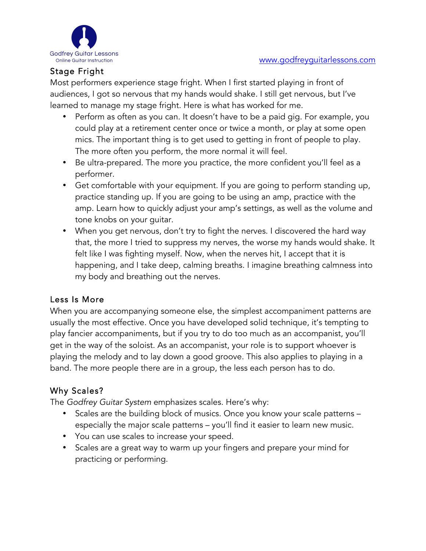

# Stage Fright

Most performers experience stage fright. When I first started playing in front of audiences, I got so nervous that my hands would shake. I still get nervous, but I've learned to manage my stage fright. Here is what has worked for me.

- Perform as often as you can. It doesn't have to be a paid gig. For example, you could play at a retirement center once or twice a month, or play at some open mics. The important thing is to get used to getting in front of people to play. The more often you perform, the more normal it will feel.
- Be ultra-prepared. The more you practice, the more confident you'll feel as a performer.
- Get comfortable with your equipment. If you are going to perform standing up, practice standing up. If you are going to be using an amp, practice with the amp. Learn how to quickly adjust your amp's settings, as well as the volume and tone knobs on your guitar.
- When you get nervous, don't try to fight the nerves. I discovered the hard way that, the more I tried to suppress my nerves, the worse my hands would shake. It felt like I was fighting myself. Now, when the nerves hit, I accept that it is happening, and I take deep, calming breaths. I imagine breathing calmness into my body and breathing out the nerves.

## Less Is More

When you are accompanying someone else, the simplest accompaniment patterns are usually the most effective. Once you have developed solid technique, it's tempting to play fancier accompaniments, but if you try to do too much as an accompanist, you'll get in the way of the soloist. As an accompanist, your role is to support whoever is playing the melody and to lay down a good groove. This also applies to playing in a band. The more people there are in a group, the less each person has to do.

## Why Scales?

The *Godfrey Guitar System* emphasizes scales. Here's why:

- Scales are the building block of musics. Once you know your scale patterns especially the major scale patterns – you'll find it easier to learn new music.
- You can use scales to increase your speed.
- Scales are a great way to warm up your fingers and prepare your mind for practicing or performing.